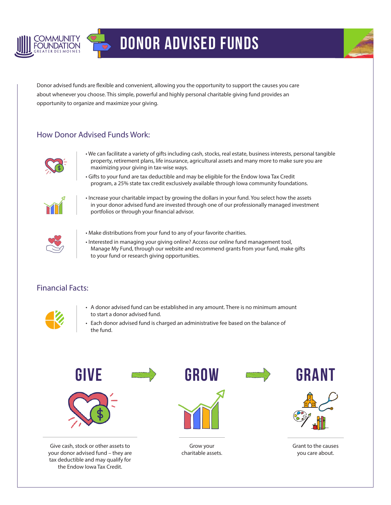

## Donor Advised Funds



Donor advised funds are flexible and convenient, allowing you the opportunity to support the causes you care about whenever you choose. This simple, powerful and highly personal charitable giving fund provides an opportunity to organize and maximize your giving.

## How Donor Advised Funds Work:



- We can facilitate a variety of gifts including cash, stocks, real estate, business interests, personal tangible property, retirement plans, life insurance, agricultural assets and many more to make sure you are maximizing your giving in tax-wise ways.
- Gifts to your fund are tax deductible and may be eligible for the Endow Iowa Tax Credit program, a 25% state tax credit exclusively available through Iowa community foundations.



• Increase your charitable impact by growing the dollars in your fund. You select how the assets in your donor advised fund are invested through one of our professionally managed investment portfolios or through your financial advisor.



- Make distributions from your fund to any of your favorite charities.
- Interested in managing your giving online? Access our online fund management tool, Manage My Fund, through our website and recommend grants from your fund, make gifts to your fund or research giving opportunities.

## Financial Facts:



- A donor advised fund can be established in any amount. There is no minimum amount to start a donor advised fund.
- Each donor advised fund is charged an administrative fee based on the balance of the fund.